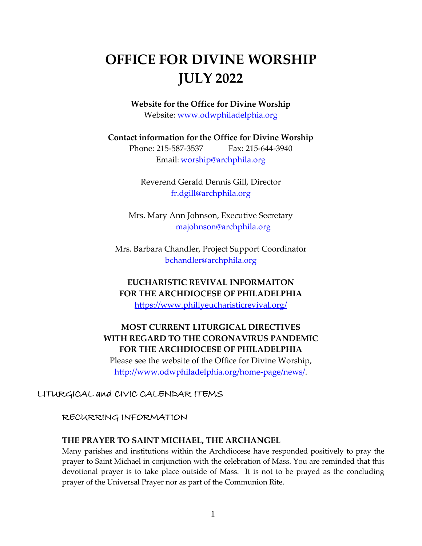# **OFFICE FOR DIVINE WORSHIP JULY 2022**

**Website for the Office for Divine Worship** Website: [www.odwphiladelphia.org](http://www.odwphiladelphia.org/)

**Contact information for the Office for Divine Worship** Phone: 215-587-3537 Fax: 215-644-3940

Email: [worship@archphila.org](mailto:worship@archphila.org)

Reverend Gerald Dennis Gill, Director [fr.dgill@archphila.org](mailto:fr.dgill@archphila.org)

Mrs. Mary Ann Johnson, Executive Secretary [majohnson@archphila.org](mailto:majohnson@archphila.org)

Mrs. Barbara Chandler, Project Support Coordinator [bchandler@archphila.org](mailto:bchandler@archphila.org)

**EUCHARISTIC REVIVAL INFORMAITON FOR THE ARCHDIOCESE OF PHILADELPHIA**

<https://www.phillyeucharisticrevival.org/>

### **MOST CURRENT LITURGICAL DIRECTIVES WITH REGARD TO THE CORONAVIRUS PANDEMIC FOR THE ARCHDIOCESE OF PHILADELPHIA**

Please see the website of the Office for Divine Worship, [http://www.odwphiladelphia.org/home-page/news/.](http://www.odwphiladelphia.org/home-page/news/)

### LITURGICAL and CIVIC CALENDAR ITEMS

### RECURRING INFORMATION

#### **THE PRAYER TO SAINT MICHAEL, THE ARCHANGEL**

Many parishes and institutions within the Archdiocese have responded positively to pray the prayer to Saint Michael in conjunction with the celebration of Mass. You are reminded that this devotional prayer is to take place outside of Mass. It is not to be prayed as the concluding prayer of the Universal Prayer nor as part of the Communion Rite.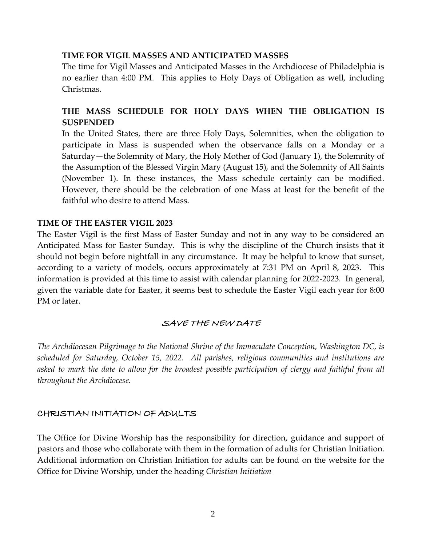#### **TIME FOR VIGIL MASSES AND ANTICIPATED MASSES**

The time for Vigil Masses and Anticipated Masses in the Archdiocese of Philadelphia is no earlier than 4:00 PM. This applies to Holy Days of Obligation as well, including Christmas.

### **THE MASS SCHEDULE FOR HOLY DAYS WHEN THE OBLIGATION IS SUSPENDED**

In the United States, there are three Holy Days, Solemnities, when the obligation to participate in Mass is suspended when the observance falls on a Monday or a Saturday—the Solemnity of Mary, the Holy Mother of God (January 1), the Solemnity of the Assumption of the Blessed Virgin Mary (August 15), and the Solemnity of All Saints (November 1). In these instances, the Mass schedule certainly can be modified. However, there should be the celebration of one Mass at least for the benefit of the faithful who desire to attend Mass.

#### **TIME OF THE EASTER VIGIL 2023**

The Easter Vigil is the first Mass of Easter Sunday and not in any way to be considered an Anticipated Mass for Easter Sunday. This is why the discipline of the Church insists that it should not begin before nightfall in any circumstance. It may be helpful to know that sunset, according to a variety of models, occurs approximately at 7:31 PM on April 8, 2023. This information is provided at this time to assist with calendar planning for 2022-2023. In general, given the variable date for Easter, it seems best to schedule the Easter Vigil each year for 8:00 PM or later.

### SAVE THE NEW DATE

*The Archdiocesan Pilgrimage to the National Shrine of the Immaculate Conception, Washington DC, is scheduled for Saturday, October 15, 2022. All parishes, religious communities and institutions are asked to mark the date to allow for the broadest possible participation of clergy and faithful from all throughout the Archdiocese.*

#### CHRISTIAN INITIATION OF ADULTS

The Office for Divine Worship has the responsibility for direction, guidance and support of pastors and those who collaborate with them in the formation of adults for Christian Initiation. Additional information on Christian Initiation for adults can be found on the website for the Office for Divine Worship, under the heading *Christian Initiation*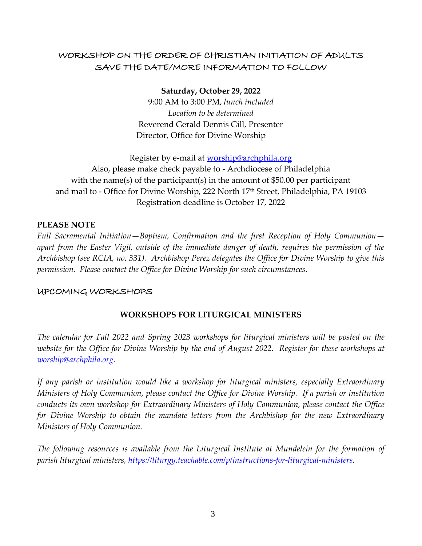### WORKSHOP ON THE ORDER OF CHRISTIAN INITIATION OF ADULTS SAVE THE DATE/MORE INFORMATION TO FOLLOW

**Saturday, October 29, 2022**

9:00 AM to 3:00 PM, *lunch included Location to be determined* Reverend Gerald Dennis Gill, Presenter Director, Office for Divine Worship

Register by e-mail at **worship@archphila.org** Also, please make check payable to - Archdiocese of Philadelphia with the name(s) of the participant(s) in the amount of \$50.00 per participant and mail to - Office for Divine Worship, 222 North 17<sup>th</sup> Street, Philadelphia, PA 19103 Registration deadline is October 17, 2022

#### **PLEASE NOTE**

*Full Sacramental Initiation—Baptism, Confirmation and the first Reception of Holy Communion apart from the Easter Vigil, outside of the immediate danger of death, requires the permission of the Archbishop (see RCIA, no. 331). Archbishop Perez delegates the Office for Divine Worship to give this permission. Please contact the Office for Divine Worship for such circumstances.*

#### UPCOMING WORKSHOPS

### **WORKSHOPS FOR LITURGICAL MINISTERS**

*The calendar for Fall 2022 and Spring 2023 workshops for liturgical ministers will be posted on the website for the Office for Divine Worship by the end of August 2022. Register for these workshops at [worship@archphila.org.](mailto:worship@archphila.org)*

*If any parish or institution would like a workshop for liturgical ministers, especially Extraordinary Ministers of Holy Communion, please contact the Office for Divine Worship. If a parish or institution conducts its own workshop for Extraordinary Ministers of Holy Communion, please contact the Office for Divine Worship to obtain the mandate letters from the Archbishop for the new Extraordinary Ministers of Holy Communion.*

*The following resources is available from the Liturgical Institute at Mundelein for the formation of parish liturgical ministers, [https://liturgy.teachable.com/p/instructions-for-liturgical-ministers.](https://liturgy.teachable.com/p/instructions-for-liturgical-ministers)*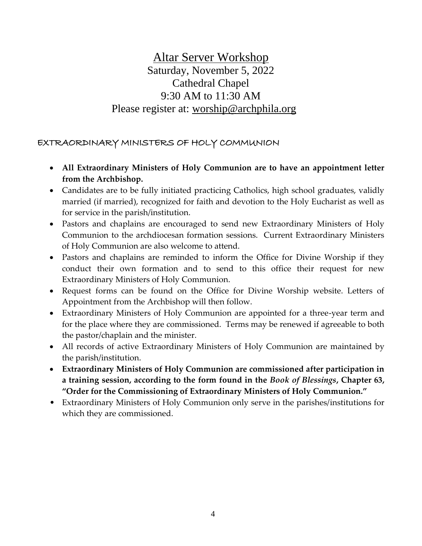# Altar Server Workshop Saturday, November 5, 2022 Cathedral Chapel 9:30 AM to 11:30 AM Please register at: [worship@archphila.org](mailto:worship@archphila.org)

### EXTRAORDINARY MINISTERS OF HOLY COMMUNION

- **All Extraordinary Ministers of Holy Communion are to have an appointment letter from the Archbishop.**
- Candidates are to be fully initiated practicing Catholics, high school graduates, validly married (if married), recognized for faith and devotion to the Holy Eucharist as well as for service in the parish/institution.
- Pastors and chaplains are encouraged to send new Extraordinary Ministers of Holy Communion to the archdiocesan formation sessions. Current Extraordinary Ministers of Holy Communion are also welcome to attend.
- Pastors and chaplains are reminded to inform the Office for Divine Worship if they conduct their own formation and to send to this office their request for new Extraordinary Ministers of Holy Communion.
- Request forms can be found on the Office for Divine Worship website. Letters of Appointment from the Archbishop will then follow.
- Extraordinary Ministers of Holy Communion are appointed for a three-year term and for the place where they are commissioned. Terms may be renewed if agreeable to both the pastor/chaplain and the minister.
- All records of active Extraordinary Ministers of Holy Communion are maintained by the parish/institution.
- **Extraordinary Ministers of Holy Communion are commissioned after participation in a training session, according to the form found in the** *Book of Blessings***, Chapter 63, "Order for the Commissioning of Extraordinary Ministers of Holy Communion."**
- Extraordinary Ministers of Holy Communion only serve in the parishes/institutions for which they are commissioned.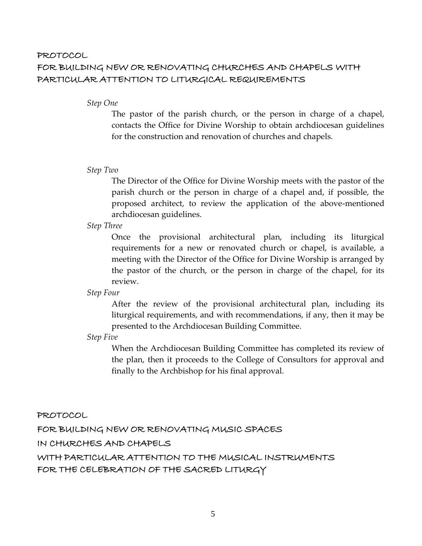### PROTOCOL FOR BUILDING NEW OR RENOVATING CHURCHES AND CHAPELS WITH PARTICULAR ATTENTION TO LITURGICAL REQUIREMENTS

#### *Step One*

The pastor of the parish church, or the person in charge of a chapel, contacts the Office for Divine Worship to obtain archdiocesan guidelines for the construction and renovation of churches and chapels.

#### *Step Two*

The Director of the Office for Divine Worship meets with the pastor of the parish church or the person in charge of a chapel and, if possible, the proposed architect, to review the application of the above-mentioned archdiocesan guidelines.

#### *Step Three*

Once the provisional architectural plan, including its liturgical requirements for a new or renovated church or chapel, is available, a meeting with the Director of the Office for Divine Worship is arranged by the pastor of the church, or the person in charge of the chapel, for its review.

#### *Step Four*

After the review of the provisional architectural plan, including its liturgical requirements, and with recommendations, if any, then it may be presented to the Archdiocesan Building Committee.

#### *Step Five*

When the Archdiocesan Building Committee has completed its review of the plan, then it proceeds to the College of Consultors for approval and finally to the Archbishop for his final approval.

#### PROTOCOL

FOR BUILDING NEW OR RENOVATING MUSIC SPACES

IN CHURCHES AND CHAPELS

WITH PARTICULAR ATTENTION TO THE MUSICAL INSTRUMENTS FOR THE CELEBRATION OF THE SACRED LITURGY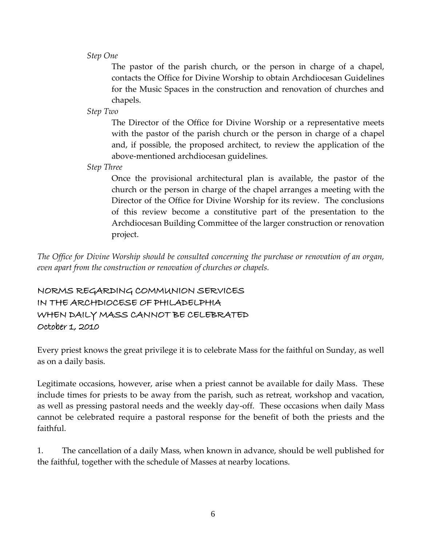*Step One*

The pastor of the parish church, or the person in charge of a chapel, contacts the Office for Divine Worship to obtain Archdiocesan Guidelines for the Music Spaces in the construction and renovation of churches and chapels.

*Step Two*

The Director of the Office for Divine Worship or a representative meets with the pastor of the parish church or the person in charge of a chapel and, if possible, the proposed architect, to review the application of the above-mentioned archdiocesan guidelines.

*Step Three*

Once the provisional architectural plan is available, the pastor of the church or the person in charge of the chapel arranges a meeting with the Director of the Office for Divine Worship for its review. The conclusions of this review become a constitutive part of the presentation to the Archdiocesan Building Committee of the larger construction or renovation project.

*The Office for Divine Worship should be consulted concerning the purchase or renovation of an organ, even apart from the construction or renovation of churches or chapels.*

NORMS REGARDING COMMUNION SERVICES IN THE ARCHDIOCESE OF PHILADELPHIA WHEN DAILY MASS CANNOT BE CELEBRATED October 1, 2010

Every priest knows the great privilege it is to celebrate Mass for the faithful on Sunday, as well as on a daily basis.

Legitimate occasions, however, arise when a priest cannot be available for daily Mass. These include times for priests to be away from the parish, such as retreat, workshop and vacation, as well as pressing pastoral needs and the weekly day-off. These occasions when daily Mass cannot be celebrated require a pastoral response for the benefit of both the priests and the faithful.

1. The cancellation of a daily Mass, when known in advance, should be well published for the faithful, together with the schedule of Masses at nearby locations.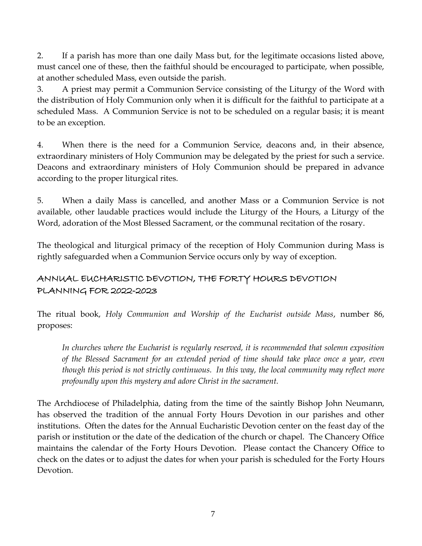2. If a parish has more than one daily Mass but, for the legitimate occasions listed above, must cancel one of these, then the faithful should be encouraged to participate, when possible, at another scheduled Mass, even outside the parish.

3. A priest may permit a Communion Service consisting of the Liturgy of the Word with the distribution of Holy Communion only when it is difficult for the faithful to participate at a scheduled Mass. A Communion Service is not to be scheduled on a regular basis; it is meant to be an exception.

4. When there is the need for a Communion Service, deacons and, in their absence, extraordinary ministers of Holy Communion may be delegated by the priest for such a service. Deacons and extraordinary ministers of Holy Communion should be prepared in advance according to the proper liturgical rites.

5. When a daily Mass is cancelled, and another Mass or a Communion Service is not available, other laudable practices would include the Liturgy of the Hours, a Liturgy of the Word, adoration of the Most Blessed Sacrament, or the communal recitation of the rosary.

The theological and liturgical primacy of the reception of Holy Communion during Mass is rightly safeguarded when a Communion Service occurs only by way of exception.

## ANNUAL EUCHARISTIC DEVOTION, THE FORTY HOURS DEVOTION PLANNING FOR 2022-2023

The ritual book, *Holy Communion and Worship of the Eucharist outside Mass*, number 86, proposes:

*In churches where the Eucharist is regularly reserved, it is recommended that solemn exposition of the Blessed Sacrament for an extended period of time should take place once a year, even though this period is not strictly continuous. In this way, the local community may reflect more profoundly upon this mystery and adore Christ in the sacrament.*

The Archdiocese of Philadelphia, dating from the time of the saintly Bishop John Neumann, has observed the tradition of the annual Forty Hours Devotion in our parishes and other institutions. Often the dates for the Annual Eucharistic Devotion center on the feast day of the parish or institution or the date of the dedication of the church or chapel. The Chancery Office maintains the calendar of the Forty Hours Devotion. Please contact the Chancery Office to check on the dates or to adjust the dates for when your parish is scheduled for the Forty Hours Devotion.